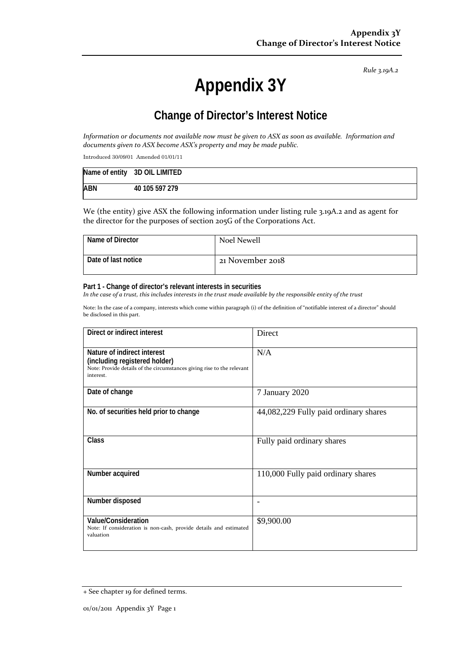*Rule 3.19A.2*

# **Appendix 3Y**

# **Change of Director's Interest Notice**

*Information or documents not available now must be given to ASX as soon as available. Information and documents given to ASX become ASX's property and may be made public.*

Introduced 30/09/01 Amended 01/01/11

|            | Name of entity 3D OIL LIMITED |
|------------|-------------------------------|
| <b>ABN</b> | 40 105 597 279                |

We (the entity) give ASX the following information under listing rule 3.19A.2 and as agent for the director for the purposes of section 205G of the Corporations Act.

| Name of Director    | Noel Newell      |
|---------------------|------------------|
| Date of last notice | 21 November 2018 |

#### **Part 1 - Change of director's relevant interests in securities**

*In the case of a trust, this includes interests in the trust made available by the responsible entity of the trust*

Note: In the case of a company, interests which come within paragraph (i) of the definition of "notifiable interest of a director" should be disclosed in this part.

| Direct or indirect interest                                                                                                                         | Direct                                |
|-----------------------------------------------------------------------------------------------------------------------------------------------------|---------------------------------------|
| Nature of indirect interest<br>(including registered holder)<br>Note: Provide details of the circumstances giving rise to the relevant<br>interest. | N/A                                   |
| Date of change                                                                                                                                      | 7 January 2020                        |
| No. of securities held prior to change                                                                                                              | 44,082,229 Fully paid ordinary shares |
| <b>Class</b>                                                                                                                                        | Fully paid ordinary shares            |
| Number acquired                                                                                                                                     | 110,000 Fully paid ordinary shares    |
| Number disposed                                                                                                                                     |                                       |
| Value/Consideration<br>Note: If consideration is non-cash, provide details and estimated<br>valuation                                               | \$9,900.00                            |

<sup>+</sup> See chapter 19 for defined terms.